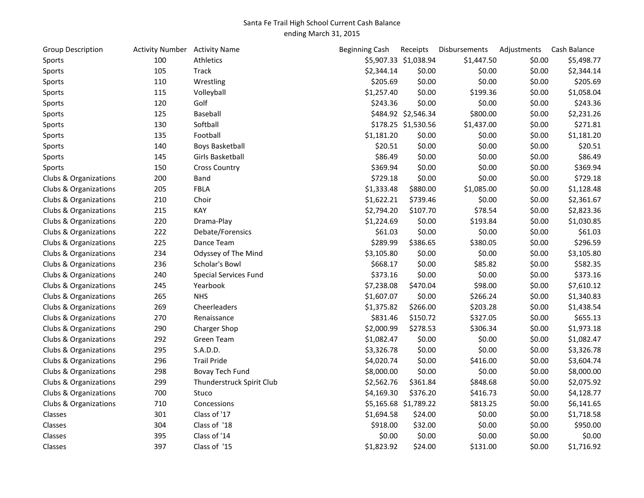## Santa Fe Trail High School Current Cash Balance ending March 31, 2015

| <b>Group Description</b> | <b>Activity Number</b> Activity Name |                              | <b>Beginning Cash</b> | Receipts              | Disbursements | Adjustments | Cash Balance |
|--------------------------|--------------------------------------|------------------------------|-----------------------|-----------------------|---------------|-------------|--------------|
| Sports                   | 100                                  | Athletics                    |                       | \$5,907.33 \$1,038.94 | \$1,447.50    | \$0.00      | \$5,498.77   |
| Sports                   | 105                                  | <b>Track</b>                 | \$2,344.14            | \$0.00                | \$0.00        | \$0.00      | \$2,344.14   |
| Sports                   | 110                                  | Wrestling                    | \$205.69              | \$0.00                | \$0.00        | \$0.00      | \$205.69     |
| Sports                   | 115                                  | Volleyball                   | \$1,257.40            | \$0.00                | \$199.36      | \$0.00      | \$1,058.04   |
| Sports                   | 120                                  | Golf                         | \$243.36              | \$0.00                | \$0.00        | \$0.00      | \$243.36     |
| Sports                   | 125                                  | Baseball                     |                       | \$484.92 \$2,546.34   | \$800.00      | \$0.00      | \$2,231.26   |
| Sports                   | 130                                  | Softball                     |                       | \$178.25 \$1,530.56   | \$1,437.00    | \$0.00      | \$271.81     |
| Sports                   | 135                                  | Football                     | \$1,181.20            | \$0.00                | \$0.00        | \$0.00      | \$1,181.20   |
| Sports                   | 140                                  | <b>Boys Basketball</b>       | \$20.51               | \$0.00                | \$0.00        | \$0.00      | \$20.51      |
| Sports                   | 145                                  | Girls Basketball             | \$86.49               | \$0.00                | \$0.00        | \$0.00      | \$86.49      |
| Sports                   | 150                                  | <b>Cross Country</b>         | \$369.94              | \$0.00                | \$0.00        | \$0.00      | \$369.94     |
| Clubs & Organizations    | 200                                  | <b>Band</b>                  | \$729.18              | \$0.00                | \$0.00        | \$0.00      | \$729.18     |
| Clubs & Organizations    | 205                                  | <b>FBLA</b>                  | \$1,333.48            | \$880.00              | \$1,085.00    | \$0.00      | \$1,128.48   |
| Clubs & Organizations    | 210                                  | Choir                        | \$1,622.21            | \$739.46              | \$0.00        | \$0.00      | \$2,361.67   |
| Clubs & Organizations    | 215                                  | KAY                          | \$2,794.20            | \$107.70              | \$78.54       | \$0.00      | \$2,823.36   |
| Clubs & Organizations    | 220                                  | Drama-Play                   | \$1,224.69            | \$0.00                | \$193.84      | \$0.00      | \$1,030.85   |
| Clubs & Organizations    | 222                                  | Debate/Forensics             | \$61.03               | \$0.00                | \$0.00        | \$0.00      | \$61.03      |
| Clubs & Organizations    | 225                                  | Dance Team                   | \$289.99              | \$386.65              | \$380.05      | \$0.00      | \$296.59     |
| Clubs & Organizations    | 234                                  | Odyssey of The Mind          | \$3,105.80            | \$0.00                | \$0.00        | \$0.00      | \$3,105.80   |
| Clubs & Organizations    | 236                                  | Scholar's Bowl               | \$668.17              | \$0.00                | \$85.82       | \$0.00      | \$582.35     |
| Clubs & Organizations    | 240                                  | <b>Special Services Fund</b> | \$373.16              | \$0.00                | \$0.00        | \$0.00      | \$373.16     |
| Clubs & Organizations    | 245                                  | Yearbook                     | \$7,238.08            | \$470.04              | \$98.00       | \$0.00      | \$7,610.12   |
| Clubs & Organizations    | 265                                  | <b>NHS</b>                   | \$1,607.07            | \$0.00                | \$266.24      | \$0.00      | \$1,340.83   |
| Clubs & Organizations    | 269                                  | Cheerleaders                 | \$1,375.82            | \$266.00              | \$203.28      | \$0.00      | \$1,438.54   |
| Clubs & Organizations    | 270                                  | Renaissance                  | \$831.46              | \$150.72              | \$327.05      | \$0.00      | \$655.13     |
| Clubs & Organizations    | 290                                  | Charger Shop                 | \$2,000.99            | \$278.53              | \$306.34      | \$0.00      | \$1,973.18   |
| Clubs & Organizations    | 292                                  | <b>Green Team</b>            | \$1,082.47            | \$0.00                | \$0.00        | \$0.00      | \$1,082.47   |
| Clubs & Organizations    | 295                                  | S.A.D.D.                     | \$3,326.78            | \$0.00                | \$0.00        | \$0.00      | \$3,326.78   |
| Clubs & Organizations    | 296                                  | <b>Trail Pride</b>           | \$4,020.74            | \$0.00                | \$416.00      | \$0.00      | \$3,604.74   |
| Clubs & Organizations    | 298                                  | Bovay Tech Fund              | \$8,000.00            | \$0.00                | \$0.00        | \$0.00      | \$8,000.00   |
| Clubs & Organizations    | 299                                  | Thunderstruck Spirit Club    | \$2,562.76            | \$361.84              | \$848.68      | \$0.00      | \$2,075.92   |
| Clubs & Organizations    | 700                                  | Stuco                        | \$4,169.30            | \$376.20              | \$416.73      | \$0.00      | \$4,128.77   |
| Clubs & Organizations    | 710                                  | Concessions                  |                       | \$5,165.68 \$1,789.22 | \$813.25      | \$0.00      | \$6,141.65   |
| Classes                  | 301                                  | Class of '17                 | \$1,694.58            | \$24.00               | \$0.00        | \$0.00      | \$1,718.58   |
| Classes                  | 304                                  | Class of '18                 | \$918.00              | \$32.00               | \$0.00        | \$0.00      | \$950.00     |
| Classes                  | 395                                  | Class of '14                 | \$0.00                | \$0.00                | \$0.00        | \$0.00      | \$0.00       |
| Classes                  | 397                                  | Class of '15                 | \$1,823.92            | \$24.00               | \$131.00      | \$0.00      | \$1,716.92   |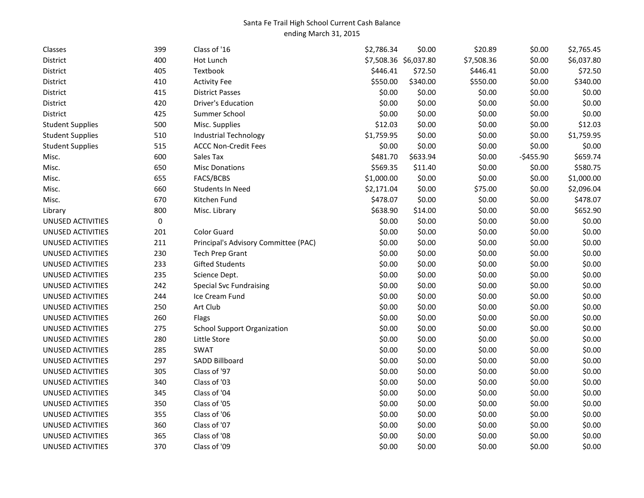## Santa Fe Trail High School Current Cash Balance ending March 31, 2015

| Classes                  | 399       | Class of '16                         | \$2,786.34 | \$0.00                | \$20.89    | \$0.00     | \$2,765.45 |
|--------------------------|-----------|--------------------------------------|------------|-----------------------|------------|------------|------------|
| District                 | 400       | Hot Lunch                            |            | \$7,508.36 \$6,037.80 | \$7,508.36 | \$0.00     | \$6,037.80 |
| District                 | 405       | Textbook                             | \$446.41   | \$72.50               | \$446.41   | \$0.00     | \$72.50    |
| District                 | 410       | <b>Activity Fee</b>                  | \$550.00   | \$340.00              | \$550.00   | \$0.00     | \$340.00   |
| District                 | 415       | <b>District Passes</b>               | \$0.00     | \$0.00                | \$0.00     | \$0.00     | \$0.00     |
| District                 | 420       | Driver's Education                   | \$0.00     | \$0.00                | \$0.00     | \$0.00     | \$0.00     |
| District                 | 425       | Summer School                        | \$0.00     | \$0.00                | \$0.00     | \$0.00     | \$0.00     |
| <b>Student Supplies</b>  | 500       | Misc. Supplies                       | \$12.03    | \$0.00                | \$0.00     | \$0.00     | \$12.03    |
| <b>Student Supplies</b>  | 510       | <b>Industrial Technology</b>         | \$1,759.95 | \$0.00                | \$0.00     | \$0.00     | \$1,759.95 |
| <b>Student Supplies</b>  | 515       | <b>ACCC Non-Credit Fees</b>          | \$0.00     | \$0.00                | \$0.00     | \$0.00     | \$0.00     |
| Misc.                    | 600       | Sales Tax                            | \$481.70   | \$633.94              | \$0.00     | $-$455.90$ | \$659.74   |
| Misc.                    | 650       | <b>Misc Donations</b>                | \$569.35   | \$11.40               | \$0.00     | \$0.00     | \$580.75   |
| Misc.                    | 655       | FACS/BCBS                            | \$1,000.00 | \$0.00                | \$0.00     | \$0.00     | \$1,000.00 |
| Misc.                    | 660       | <b>Students In Need</b>              | \$2,171.04 | \$0.00                | \$75.00    | \$0.00     | \$2,096.04 |
| Misc.                    | 670       | Kitchen Fund                         | \$478.07   | \$0.00                | \$0.00     | \$0.00     | \$478.07   |
| Library                  | 800       | Misc. Library                        | \$638.90   | \$14.00               | \$0.00     | \$0.00     | \$652.90   |
| UNUSED ACTIVITIES        | $\pmb{0}$ |                                      | \$0.00     | \$0.00                | \$0.00     | \$0.00     | \$0.00     |
| UNUSED ACTIVITIES        | 201       | <b>Color Guard</b>                   | \$0.00     | \$0.00                | \$0.00     | \$0.00     | \$0.00     |
| UNUSED ACTIVITIES        | 211       | Principal's Advisory Committee (PAC) | \$0.00     | \$0.00                | \$0.00     | \$0.00     | \$0.00     |
| <b>UNUSED ACTIVITIES</b> | 230       | <b>Tech Prep Grant</b>               | \$0.00     | \$0.00                | \$0.00     | \$0.00     | \$0.00     |
| UNUSED ACTIVITIES        | 233       | <b>Gifted Students</b>               | \$0.00     | \$0.00                | \$0.00     | \$0.00     | \$0.00     |
| UNUSED ACTIVITIES        | 235       | Science Dept.                        | \$0.00     | \$0.00                | \$0.00     | \$0.00     | \$0.00     |
| UNUSED ACTIVITIES        | 242       | <b>Special Svc Fundraising</b>       | \$0.00     | \$0.00                | \$0.00     | \$0.00     | \$0.00     |
| UNUSED ACTIVITIES        | 244       | Ice Cream Fund                       | \$0.00     | \$0.00                | \$0.00     | \$0.00     | \$0.00     |
| UNUSED ACTIVITIES        | 250       | Art Club                             | \$0.00     | \$0.00                | \$0.00     | \$0.00     | \$0.00     |
| UNUSED ACTIVITIES        | 260       | Flags                                | \$0.00     | \$0.00                | \$0.00     | \$0.00     | \$0.00     |
| UNUSED ACTIVITIES        | 275       | <b>School Support Organization</b>   | \$0.00     | \$0.00                | \$0.00     | \$0.00     | \$0.00     |
| UNUSED ACTIVITIES        | 280       | Little Store                         | \$0.00     | \$0.00                | \$0.00     | \$0.00     | \$0.00     |
| UNUSED ACTIVITIES        | 285       | <b>SWAT</b>                          | \$0.00     | \$0.00                | \$0.00     | \$0.00     | \$0.00     |
| UNUSED ACTIVITIES        | 297       | <b>SADD Billboard</b>                | \$0.00     | \$0.00                | \$0.00     | \$0.00     | \$0.00     |
| UNUSED ACTIVITIES        | 305       | Class of '97                         | \$0.00     | \$0.00                | \$0.00     | \$0.00     | \$0.00     |
| UNUSED ACTIVITIES        | 340       | Class of '03                         | \$0.00     | \$0.00                | \$0.00     | \$0.00     | \$0.00     |
| UNUSED ACTIVITIES        | 345       | Class of '04                         | \$0.00     | \$0.00                | \$0.00     | \$0.00     | \$0.00     |
| UNUSED ACTIVITIES        | 350       | Class of '05                         | \$0.00     | \$0.00                | \$0.00     | \$0.00     | \$0.00     |
| UNUSED ACTIVITIES        | 355       | Class of '06                         | \$0.00     | \$0.00                | \$0.00     | \$0.00     | \$0.00     |
| UNUSED ACTIVITIES        | 360       | Class of '07                         | \$0.00     | \$0.00                | \$0.00     | \$0.00     | \$0.00     |
| UNUSED ACTIVITIES        | 365       | Class of '08                         | \$0.00     | \$0.00                | \$0.00     | \$0.00     | \$0.00     |
| UNUSED ACTIVITIES        | 370       | Class of '09                         | \$0.00     | \$0.00                | \$0.00     | \$0.00     | \$0.00     |